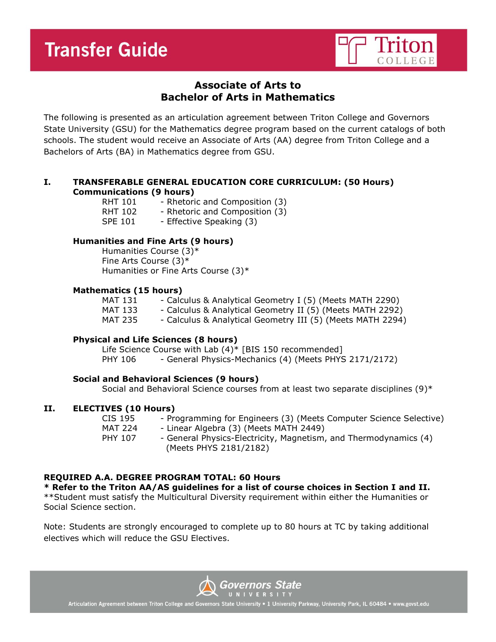

## **Associate of Arts to Bachelor of Arts in Mathematics**

The following is presented as an articulation agreement between Triton College and Governors State University (GSU) for the Mathematics degree program based on the current catalogs of both schools. The student would receive an Associate of Arts (AA) degree from Triton College and a Bachelors of Arts (BA) in Mathematics degree from GSU.

## **I. TRANSFERABLE GENERAL EDUCATION CORE CURRICULUM: (50 Hours) Communications (9 hours)**

| RHT 101        | - Rhetoric and Composition (3) |
|----------------|--------------------------------|
| RHT 102        | - Rhetoric and Composition (3) |
| <b>SPE 101</b> | - Effective Speaking (3)       |

### **Humanities and Fine Arts (9 hours)**

Humanities Course (3)\* Fine Arts Course (3)\* Humanities or Fine Arts Course (3)\*

### **Mathematics (15 hours)**

| MAT 131        | - Calculus & Analytical Geometry I (5) (Meets MATH 2290)   |
|----------------|------------------------------------------------------------|
| MAT 133        | - Calculus & Analytical Geometry II (5) (Meets MATH 2292)  |
| <b>MAT 235</b> | - Calculus & Analytical Geometry III (5) (Meets MATH 2294) |

## **Physical and Life Sciences (8 hours)**

Life Science Course with Lab (4)\* [BIS 150 recommended] PHY 106 - General Physics-Mechanics (4) (Meets PHYS 2171/2172)

## **Social and Behavioral Sciences (9 hours)**

Social and Behavioral Science courses from at least two separate disciplines (9)\*

### **II. ELECTIVES (10 Hours)**

CIS 195 - Programming for Engineers (3) (Meets Computer Science Selective) MAT 224 - Linear Algebra (3) (Meets MATH 2449) PHY 107 - General Physics-Electricity, Magnetism, and Thermodynamics (4) (Meets PHYS 2181/2182)

## **REQUIRED A.A. DEGREE PROGRAM TOTAL: 60 Hours**

**\* Refer to the Triton AA/AS guidelines for a list of course choices in Section I and II.**

\*\*Student must satisfy the Multicultural Diversity requirement within either the Humanities or Social Science section.

Note: Students are strongly encouraged to complete up to 80 hours at TC by taking additional electives which will reduce the GSU Electives.



Articulation Agreement between Triton College and Governors State University . 1 University Parkway, University Park, IL 60484 . www.govst.edu